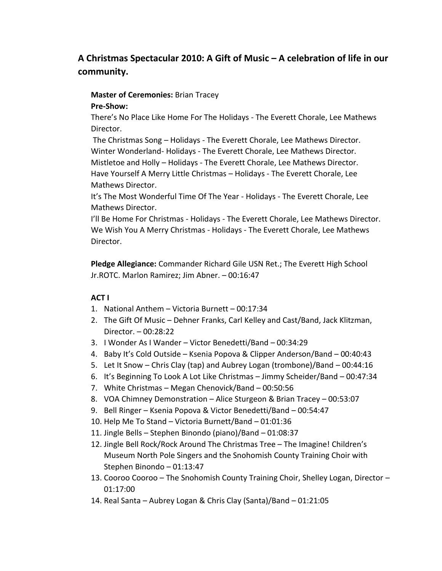# **A Christmas Spectacular 2010: A Gift of Music – A celebration of life in our community.**

# **Master of Ceremonies:** Brian Tracey

#### **Pre-Show:**

There's No Place Like Home For The Holidays - The Everett Chorale, Lee Mathews Director.

The Christmas Song – Holidays - The Everett Chorale, Lee Mathews Director. Winter Wonderland- Holidays - The Everett Chorale, Lee Mathews Director. Mistletoe and Holly – Holidays - The Everett Chorale, Lee Mathews Director. Have Yourself A Merry Little Christmas – Holidays - The Everett Chorale, Lee Mathews Director.

It's The Most Wonderful Time Of The Year - Holidays - The Everett Chorale, Lee Mathews Director.

I'll Be Home For Christmas - Holidays - The Everett Chorale, Lee Mathews Director. We Wish You A Merry Christmas - Holidays - The Everett Chorale, Lee Mathews Director.

**Pledge Allegiance:** Commander Richard Gile USN Ret.; The Everett High School Jr.ROTC. Marlon Ramirez; Jim Abner. – 00:16:47

### **ACT I**

- 1. National Anthem Victoria Burnett 00:17:34
- 2. The Gift Of Music Dehner Franks, Carl Kelley and Cast/Band, Jack Klitzman, Director. – 00:28:22
- 3. I Wonder As I Wander Victor Benedetti/Band 00:34:29
- 4. Baby It's Cold Outside Ksenia Popova & Clipper Anderson/Band 00:40:43
- 5. Let It Snow Chris Clay (tap) and Aubrey Logan (trombone)/Band 00:44:16
- 6. It's Beginning To Look A Lot Like Christmas Jimmy Scheider/Band 00:47:34
- 7. White Christmas Megan Chenovick/Band 00:50:56
- 8. VOA Chimney Demonstration Alice Sturgeon & Brian Tracey 00:53:07
- 9. Bell Ringer Ksenia Popova & Victor Benedetti/Band 00:54:47
- 10. Help Me To Stand Victoria Burnett/Band 01:01:36
- 11. Jingle Bells Stephen Binondo (piano)/Band 01:08:37
- 12. Jingle Bell Rock/Rock Around The Christmas Tree The Imagine! Children's Museum North Pole Singers and the Snohomish County Training Choir with Stephen Binondo – 01:13:47
- 13. Cooroo Cooroo The Snohomish County Training Choir, Shelley Logan, Director 01:17:00
- 14. Real Santa Aubrey Logan & Chris Clay (Santa)/Band 01:21:05